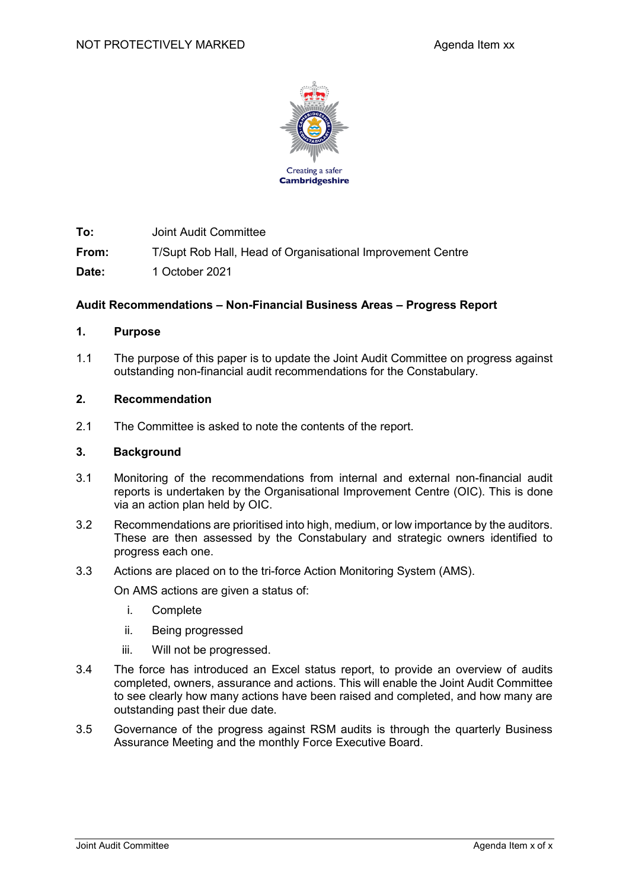

**To:** Joint Audit Committee

**From:** T/Supt Rob Hall, Head of Organisational Improvement Centre

**Date:** 1 October 2021

## **Audit Recommendations – Non-Financial Business Areas – Progress Report**

### **1. Purpose**

1.1 The purpose of this paper is to update the Joint Audit Committee on progress against outstanding non-financial audit recommendations for the Constabulary.

### **2. Recommendation**

2.1 The Committee is asked to note the contents of the report.

#### **3. Background**

- 3.1 Monitoring of the recommendations from internal and external non-financial audit reports is undertaken by the Organisational Improvement Centre (OIC). This is done via an action plan held by OIC.
- 3.2 Recommendations are prioritised into high, medium, or low importance by the auditors. These are then assessed by the Constabulary and strategic owners identified to progress each one.
- 3.3 Actions are placed on to the tri-force Action Monitoring System (AMS).

On AMS actions are given a status of:

- i. Complete
- ii. Being progressed
- iii. Will not be progressed.
- 3.4 The force has introduced an Excel status report, to provide an overview of audits completed, owners, assurance and actions. This will enable the Joint Audit Committee to see clearly how many actions have been raised and completed, and how many are outstanding past their due date.
- 3.5 Governance of the progress against RSM audits is through the quarterly Business Assurance Meeting and the monthly Force Executive Board.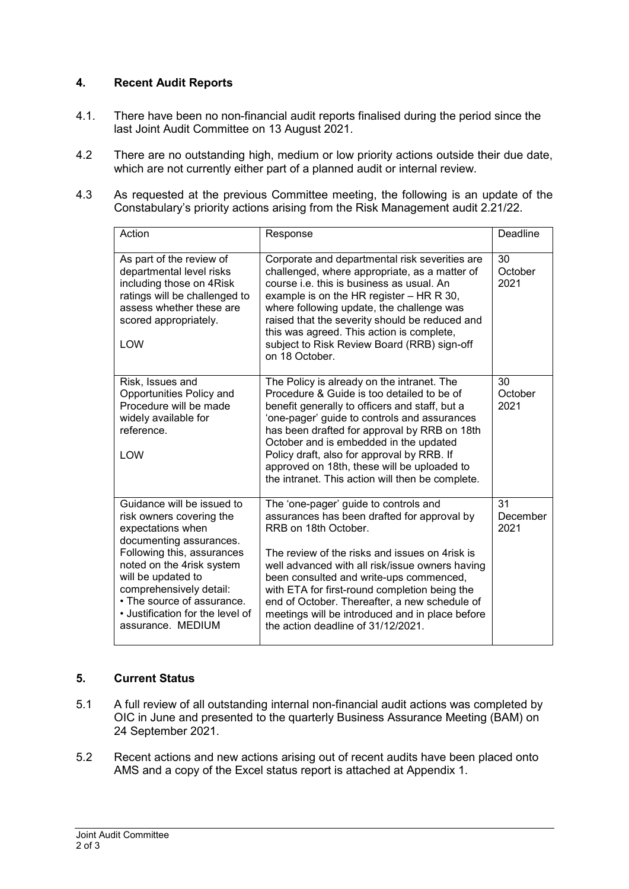# **4. Recent Audit Reports**

- 4.1. There have been no non-financial audit reports finalised during the period since the last Joint Audit Committee on 13 August 2021.
- 4.2 There are no outstanding high, medium or low priority actions outside their due date, which are not currently either part of a planned audit or internal review.
- 4.3 As requested at the previous Committee meeting, the following is an update of the Constabulary's priority actions arising from the Risk Management audit 2.21/22.

| Action                                                                                                                                                                                                                                                                                                    | Response                                                                                                                                                                                                                                                                                                                                                                                                                                                | Deadline               |
|-----------------------------------------------------------------------------------------------------------------------------------------------------------------------------------------------------------------------------------------------------------------------------------------------------------|---------------------------------------------------------------------------------------------------------------------------------------------------------------------------------------------------------------------------------------------------------------------------------------------------------------------------------------------------------------------------------------------------------------------------------------------------------|------------------------|
| As part of the review of<br>departmental level risks<br>including those on 4Risk<br>ratings will be challenged to<br>assess whether these are<br>scored appropriately.<br>LOW                                                                                                                             | Corporate and departmental risk severities are<br>challenged, where appropriate, as a matter of<br>course <i>i.e.</i> this is business as usual. An<br>example is on the HR register $-$ HR R 30,<br>where following update, the challenge was<br>raised that the severity should be reduced and<br>this was agreed. This action is complete,<br>subject to Risk Review Board (RRB) sign-off<br>on 18 October.                                          | 30<br>October<br>2021  |
| Risk, Issues and<br>Opportunities Policy and<br>Procedure will be made<br>widely available for<br>reference.<br>LOW                                                                                                                                                                                       | The Policy is already on the intranet. The<br>Procedure & Guide is too detailed to be of<br>benefit generally to officers and staff, but a<br>'one-pager' guide to controls and assurances<br>has been drafted for approval by RRB on 18th<br>October and is embedded in the updated<br>Policy draft, also for approval by RRB. If<br>approved on 18th, these will be uploaded to<br>the intranet. This action will then be complete.                   | 30<br>October<br>2021  |
| Guidance will be issued to<br>risk owners covering the<br>expectations when<br>documenting assurances.<br>Following this, assurances<br>noted on the 4risk system<br>will be updated to<br>comprehensively detail:<br>• The source of assurance.<br>• Justification for the level of<br>assurance. MEDIUM | The 'one-pager' guide to controls and<br>assurances has been drafted for approval by<br>RRB on 18th October.<br>The review of the risks and issues on 4risk is<br>well advanced with all risk/issue owners having<br>been consulted and write-ups commenced,<br>with ETA for first-round completion being the<br>end of October. Thereafter, a new schedule of<br>meetings will be introduced and in place before<br>the action deadline of 31/12/2021. | 31<br>December<br>2021 |

# **5. Current Status**

- 5.1 A full review of all outstanding internal non-financial audit actions was completed by OIC in June and presented to the quarterly Business Assurance Meeting (BAM) on 24 September 2021.
- 5.2 Recent actions and new actions arising out of recent audits have been placed onto AMS and a copy of the Excel status report is attached at Appendix 1.